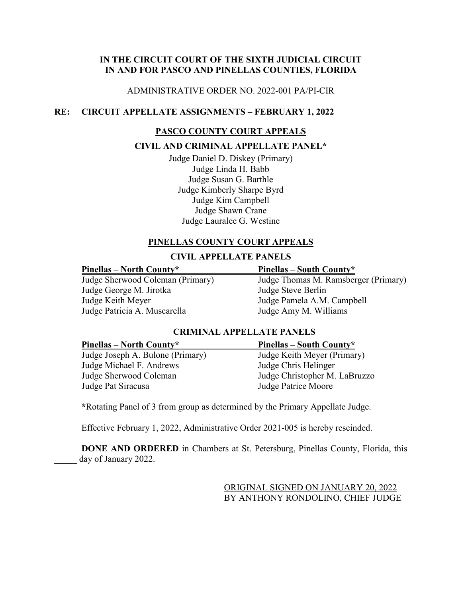## **IN THE CIRCUIT COURT OF THE SIXTH JUDICIAL CIRCUIT IN AND FOR PASCO AND PINELLAS COUNTIES, FLORIDA**

## ADMINISTRATIVE ORDER NO. 2022-001 PA/PI-CIR

## **RE: CIRCUIT APPELLATE ASSIGNMENTS – FEBRUARY 1, 2022**

## **PASCO COUNTY COURT APPEALS**

## **CIVIL AND CRIMINAL APPELLATE PANEL\***

Judge Daniel D. Diskey (Primary) Judge Linda H. Babb Judge Susan G. Barthle Judge Kimberly Sharpe Byrd Judge Kim Campbell Judge Shawn Crane Judge Lauralee G. Westine

## **PINELLAS COUNTY COURT APPEALS**

## **CIVIL APPELLATE PANELS**

Judge George M. Jirotka Judge Steve Berlin Judge Keith Meyer Judge Pamela A.M. Campbell Judge Patricia A. Muscarella Judge Amy M. Williams

### **Pinellas – North County\* Pinellas – South County\***

Judge Sherwood Coleman (Primary) Judge Thomas M. Ramsberger (Primary)

## **CRIMINAL APPELLATE PANELS**

## Judge Joseph A. Bulone (Primary) Judge Keith Meyer (Primary) Judge Michael F. Andrews Judge Chris Helinger<br>Judge Sherwood Coleman Judge Christopher M. Judge Pat Siracusa Judge Patrice Moore

# **Pinellas – North County\* Pinellas – South County\*** Judge Christopher M. LaBruzzo

**\***Rotating Panel of 3 from group as determined by the Primary Appellate Judge.

Effective February 1, 2022, Administrative Order 2021-005 is hereby rescinded.

**DONE AND ORDERED** in Chambers at St. Petersburg, Pinellas County, Florida, this day of January 2022.

> ORIGINAL SIGNED ON JANUARY 20, 2022 BY ANTHONY RONDOLINO, CHIEF JUDGE